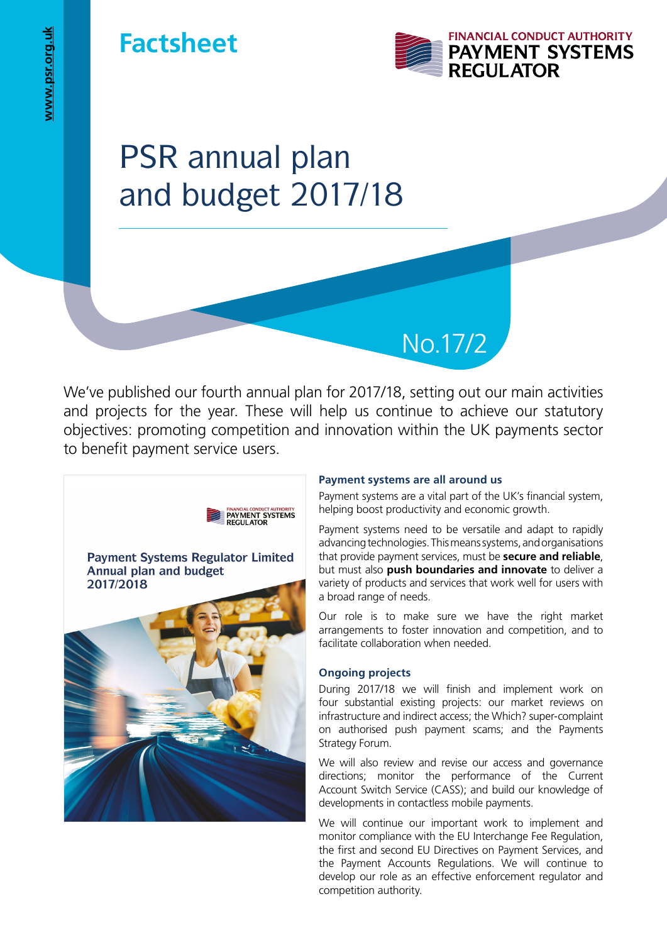## **Factsheet**



# PSR annual plan and budget 2017/18

We've published our fourth annual plan for 2017/18, setting out our main activities and projects for the year. These will help us continue to achieve our statutory objectives: promoting competition and innovation within the UK payments sector to benefit payment service users.



#### **Payment systems are all around us**

Payment systems are a vital part of the UK's financial system, helping boost productivity and economic growth.

No.17/2

Payment systems need to be versatile and adapt to rapidly advancing technologies. This means systems, and organisations that provide payment services, must be **secure and reliable**, but must also **push boundaries and innovate** to deliver a variety of products and services that work well for users with a broad range of needs.

Our role is to make sure we have the right market arrangements to foster innovation and competition, and to facilitate collaboration when needed.

#### **Ongoing projects**

During 2017/18 we will finish and implement work on four substantial existing projects: our market reviews on infrastructure and indirect access; the Which? super-complaint on authorised push payment scams; and the Payments Strategy Forum.

We will also review and revise our access and governance directions; monitor the performance of the Current Account Switch Service (CASS); and build our knowledge of developments in contactless mobile payments.

We will continue our important work to implement and monitor compliance with the EU Interchange Fee Regulation, the first and second EU Directives on Payment Services, and the Payment Accounts Regulations. We will continue to develop our role as an effective enforcement regulator and competition authority.